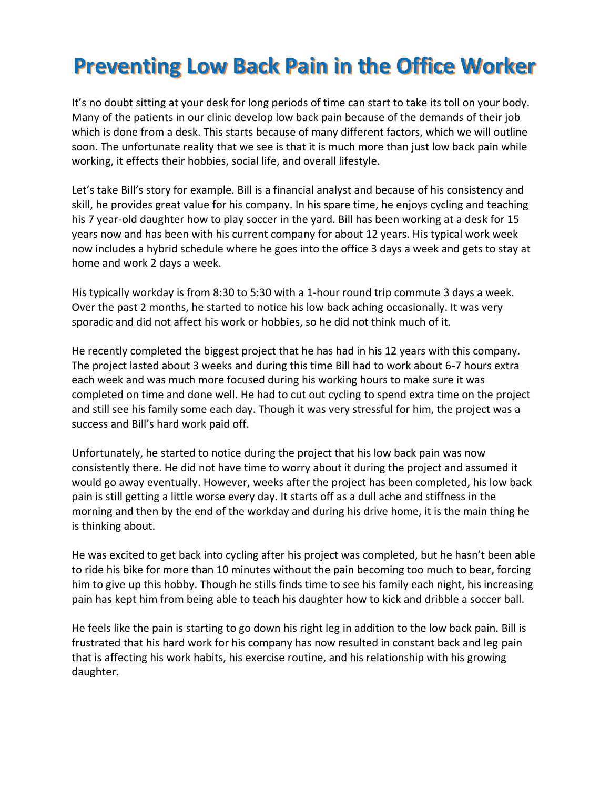# **Preventing Low Back Pain in the Office Worker**

It's no doubt sitting at your desk for long periods of time can start to take its toll on your body. Many of the patients in our clinic develop low back pain because of the demands of their job which is done from a desk. This starts because of many different factors, which we will outline soon. The unfortunate reality that we see is that it is much more than just low back pain while working, it effects their hobbies, social life, and overall lifestyle.

Let's take Bill's story for example. Bill is a financial analyst and because of his consistency and skill, he provides great value for his company. In his spare time, he enjoys cycling and teaching his 7 year-old daughter how to play soccer in the yard. Bill has been working at a desk for 15 years now and has been with his current company for about 12 years. His typical work week now includes a hybrid schedule where he goes into the office 3 days a week and gets to stay at home and work 2 days a week.

His typically workday is from 8:30 to 5:30 with a 1-hour round trip commute 3 days a week. Over the past 2 months, he started to notice his low back aching occasionally. It was very sporadic and did not affect his work or hobbies, so he did not think much of it.

He recently completed the biggest project that he has had in his 12 years with this company. The project lasted about 3 weeks and during this time Bill had to work about 6-7 hours extra each week and was much more focused during his working hours to make sure it was completed on time and done well. He had to cut out cycling to spend extra time on the project and still see his family some each day. Though it was very stressful for him, the project was a success and Bill's hard work paid off.

Unfortunately, he started to notice during the project that his low back pain was now consistently there. He did not have time to worry about it during the project and assumed it would go away eventually. However, weeks after the project has been completed, his low back pain is still getting a little worse every day. It starts off as a dull ache and stiffness in the morning and then by the end of the workday and during his drive home, it is the main thing he is thinking about.

He was excited to get back into cycling after his project was completed, but he hasn't been able to ride his bike for more than 10 minutes without the pain becoming too much to bear, forcing him to give up this hobby. Though he stills finds time to see his family each night, his increasing pain has kept him from being able to teach his daughter how to kick and dribble a soccer ball.

He feels like the pain is starting to go down his right leg in addition to the low back pain. Bill is frustrated that his hard work for his company has now resulted in constant back and leg pain that is affecting his work habits, his exercise routine, and his relationship with his growing daughter.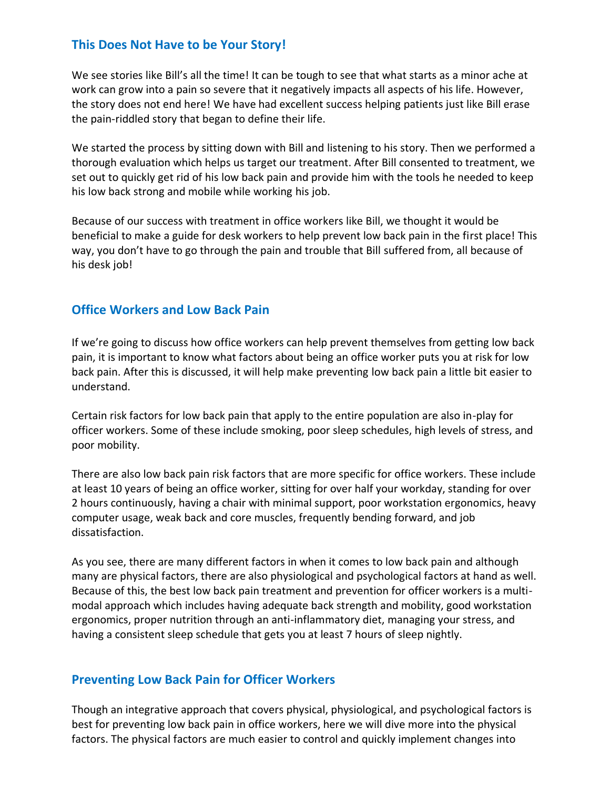### **This Does Not Have to be Your Story!**

We see stories like Bill's all the time! It can be tough to see that what starts as a minor ache at work can grow into a pain so severe that it negatively impacts all aspects of his life. However, the story does not end here! We have had excellent success helping patients just like Bill erase the pain-riddled story that began to define their life.

We started the process by sitting down with Bill and listening to his story. Then we performed a thorough evaluation which helps us target our treatment. After Bill consented to treatment, we set out to quickly get rid of his low back pain and provide him with the tools he needed to keep his low back strong and mobile while working his job.

Because of our success with treatment in office workers like Bill, we thought it would be beneficial to make a guide for desk workers to help prevent low back pain in the first place! This way, you don't have to go through the pain and trouble that Bill suffered from, all because of his desk job!

### **Office Workers and Low Back Pain**

If we're going to discuss how office workers can help prevent themselves from getting low back pain, it is important to know what factors about being an office worker puts you at risk for low back pain. After this is discussed, it will help make preventing low back pain a little bit easier to understand.

Certain risk factors for low back pain that apply to the entire population are also in-play for officer workers. Some of these include smoking, poor sleep schedules, high levels of stress, and poor mobility.

There are also low back pain risk factors that are more specific for office workers. These include at least 10 years of being an office worker, sitting for over half your workday, standing for over 2 hours continuously, having a chair with minimal support, poor workstation ergonomics, heavy computer usage, weak back and core muscles, frequently bending forward, and job dissatisfaction.

As you see, there are many different factors in when it comes to low back pain and although many are physical factors, there are also physiological and psychological factors at hand as well. Because of this, the best low back pain treatment and prevention for officer workers is a multimodal approach which includes having adequate back strength and mobility, good workstation ergonomics, proper nutrition through an anti-inflammatory diet, managing your stress, and having a consistent sleep schedule that gets you at least 7 hours of sleep nightly.

### **Preventing Low Back Pain for Officer Workers**

Though an integrative approach that covers physical, physiological, and psychological factors is best for preventing low back pain in office workers, here we will dive more into the physical factors. The physical factors are much easier to control and quickly implement changes into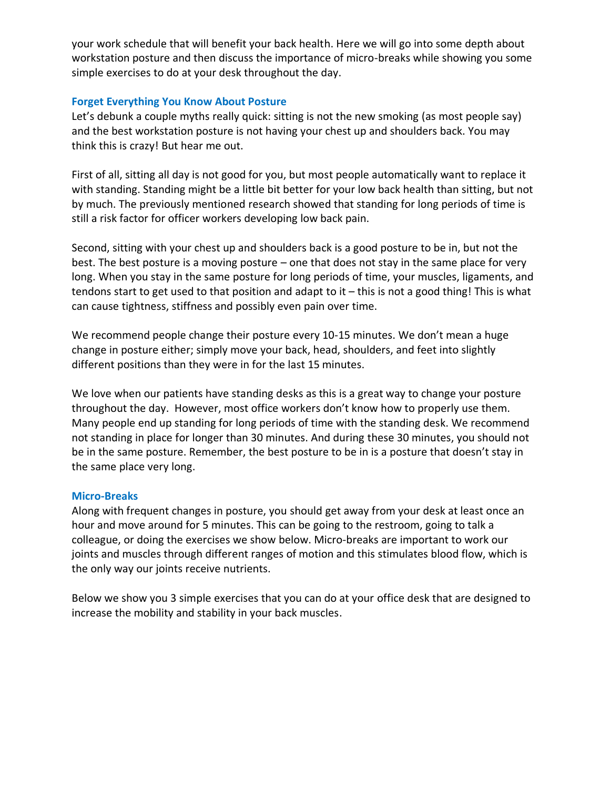your work schedule that will benefit your back health. Here we will go into some depth about workstation posture and then discuss the importance of micro-breaks while showing you some simple exercises to do at your desk throughout the day.

### **Forget Everything You Know About Posture**

Let's debunk a couple myths really quick: sitting is not the new smoking (as most people say) and the best workstation posture is not having your chest up and shoulders back. You may think this is crazy! But hear me out.

First of all, sitting all day is not good for you, but most people automatically want to replace it with standing. Standing might be a little bit better for your low back health than sitting, but not by much. The previously mentioned research showed that standing for long periods of time is still a risk factor for officer workers developing low back pain.

Second, sitting with your chest up and shoulders back is a good posture to be in, but not the best. The best posture is a moving posture – one that does not stay in the same place for very long. When you stay in the same posture for long periods of time, your muscles, ligaments, and tendons start to get used to that position and adapt to it – this is not a good thing! This is what can cause tightness, stiffness and possibly even pain over time.

We recommend people change their posture every 10-15 minutes. We don't mean a huge change in posture either; simply move your back, head, shoulders, and feet into slightly different positions than they were in for the last 15 minutes.

We love when our patients have standing desks as this is a great way to change your posture throughout the day. However, most office workers don't know how to properly use them. Many people end up standing for long periods of time with the standing desk. We recommend not standing in place for longer than 30 minutes. And during these 30 minutes, you should not be in the same posture. Remember, the best posture to be in is a posture that doesn't stay in the same place very long.

### **Micro-Breaks**

Along with frequent changes in posture, you should get away from your desk at least once an hour and move around for 5 minutes. This can be going to the restroom, going to talk a colleague, or doing the exercises we show below. Micro-breaks are important to work our joints and muscles through different ranges of motion and this stimulates blood flow, which is the only way our joints receive nutrients.

Below we show you 3 simple exercises that you can do at your office desk that are designed to increase the mobility and stability in your back muscles.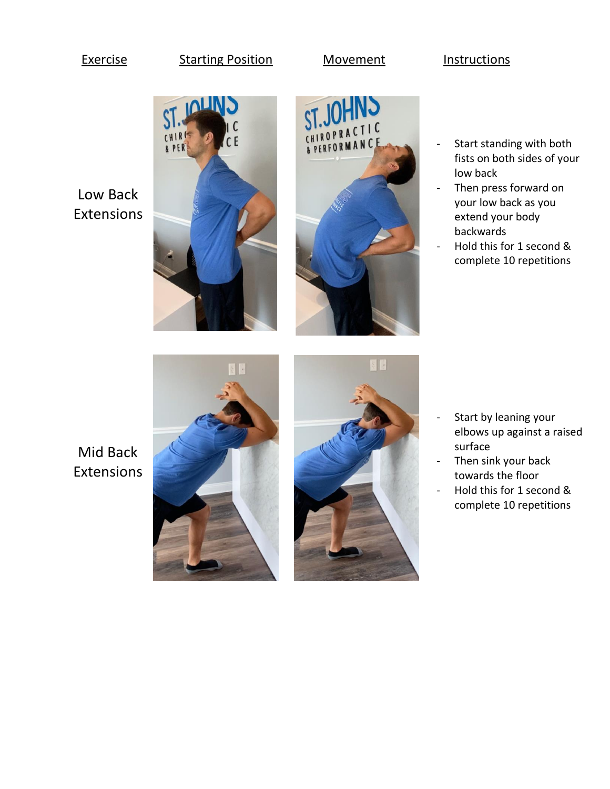### Exercise Starting Position Movement Instructions

## Low Back Extensions





- Start standing with both fists on both sides of your low back
- Then press forward on your low back as you extend your body backwards
- Hold this for 1 second & complete 10 repetitions

Mid Back Extensions





- Start by leaning your elbows up against a raised surface
- Then sink your back towards the floor
- Hold this for 1 second & complete 10 repetitions